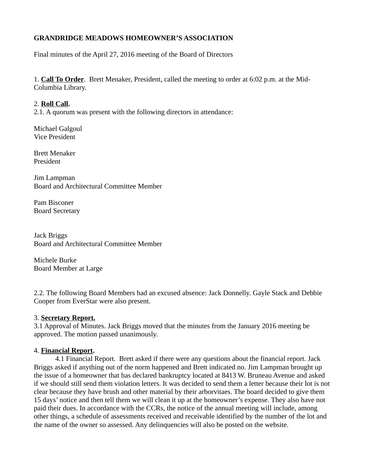# **GRANDRIDGE MEADOWS HOMEOWNER'S ASSOCIATION**

Final minutes of the April 27, 2016 meeting of the Board of Directors

1. **Call To Order**. Brett Menaker, President, called the meeting to order at 6:02 p.m. at the Mid-Columbia Library.

#### 2. **Roll Call.**

2.1. A quorum was present with the following directors in attendance:

Michael Galgoul Vice President

Brett Menaker President

Jim Lampman Board and Architectural Committee Member

Pam Bisconer Board Secretary

Jack Briggs Board and Architectural Committee Member

Michele Burke Board Member at Large

2.2. The following Board Members had an excused absence: Jack Donnelly. Gayle Stack and Debbie Cooper from EverStar were also present.

## 3. **Secretary Report.**

3.1 Approval of Minutes. Jack Briggs moved that the minutes from the January 2016 meeting be approved. The motion passed unanimously.

## 4. **Financial Report.**

 4.1 Financial Report. Brett asked if there were any questions about the financial report. Jack Briggs asked if anything out of the norm happened and Brett indicated no. Jim Lampman brought up the issue of a homeowner that has declared bankruptcy located at 8413 W. Bruneau Avenue and asked if we should still send them violation letters. It was decided to send them a letter because their lot is not clear because they have brush and other material by their arborvitaes. The board decided to give them 15 days' notice and then tell them we will clean it up at the homeowner's expense. They also have not paid their dues. In accordance with the CCRs, the notice of the annual meeting will include, among other things, a schedule of assessments received and receivable identified by the number of the lot and the name of the owner so assessed. Any delinquencies will also be posted on the website.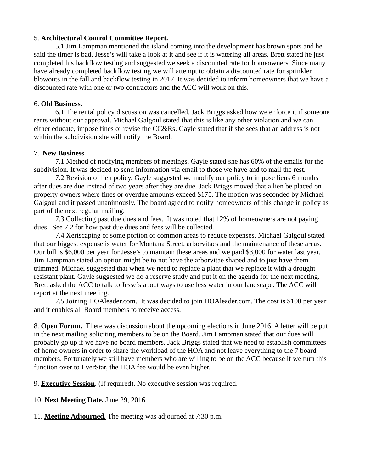## 5. **Architectural Control Committee Report.**

 5.1 Jim Lampman mentioned the island coming into the development has brown spots and he said the timer is bad. Jesse's will take a look at it and see if it is watering all areas. Brett stated he just completed his backflow testing and suggested we seek a discounted rate for homeowners. Since many have already completed backflow testing we will attempt to obtain a discounted rate for sprinkler blowouts in the fall and backflow testing in 2017. It was decided to inform homeowners that we have a discounted rate with one or two contractors and the ACC will work on this.

#### 6. **Old Business.**

 6.1 The rental policy discussion was cancelled. Jack Briggs asked how we enforce it if someone rents without our approval. Michael Galgoul stated that this is like any other violation and we can either educate, impose fines or revise the CC&Rs. Gayle stated that if she sees that an address is not within the subdivision she will notify the Board.

#### 7. **New Business**

 7.1 Method of notifying members of meetings. Gayle stated she has 60% of the emails for the subdivision. It was decided to send information via email to those we have and to mail the rest.

 7.2 Revision of lien policy. Gayle suggested we modify our policy to impose liens 6 months after dues are due instead of two years after they are due. Jack Briggs moved that a lien be placed on property owners where fines or overdue amounts exceed \$175. The motion was seconded by Michael Galgoul and it passed unanimously. The board agreed to notify homeowners of this change in policy as part of the next regular mailing.

 7.3 Collecting past due dues and fees. It was noted that 12% of homeowners are not paying dues. See 7.2 for how past due dues and fees will be collected.

 7.4 Xeriscaping of some portion of common areas to reduce expenses. Michael Galgoul stated that our biggest expense is water for Montana Street, arborvitaes and the maintenance of these areas. Our bill is \$6,000 per year for Jesse's to maintain these areas and we paid \$3,000 for water last year. Jim Lampman stated an option might be to not have the arborvitae shaped and to just have them trimmed. Michael suggested that when we need to replace a plant that we replace it with a drought resistant plant. Gayle suggested we do a reserve study and put it on the agenda for the next meeting. Brett asked the ACC to talk to Jesse's about ways to use less water in our landscape. The ACC will report at the next meeting.

 7.5 Joining HOAleader.com. It was decided to join HOAleader.com. The cost is \$100 per year and it enables all Board members to receive access.

8. **Open Forum.** There was discussion about the upcoming elections in June 2016. A letter will be put in the next mailing soliciting members to be on the Board. Jim Lampman stated that our dues will probably go up if we have no board members. Jack Briggs stated that we need to establish committees of home owners in order to share the workload of the HOA and not leave everything to the 7 board members. Fortunately we still have members who are willing to be on the ACC because if we turn this function over to EverStar, the HOA fee would be even higher.

9. **Executive Session**. (If required). No executive session was required.

10. **Next Meeting Date.** June 29, 2016

11. **Meeting Adjourned.** The meeting was adjourned at 7:30 p.m.